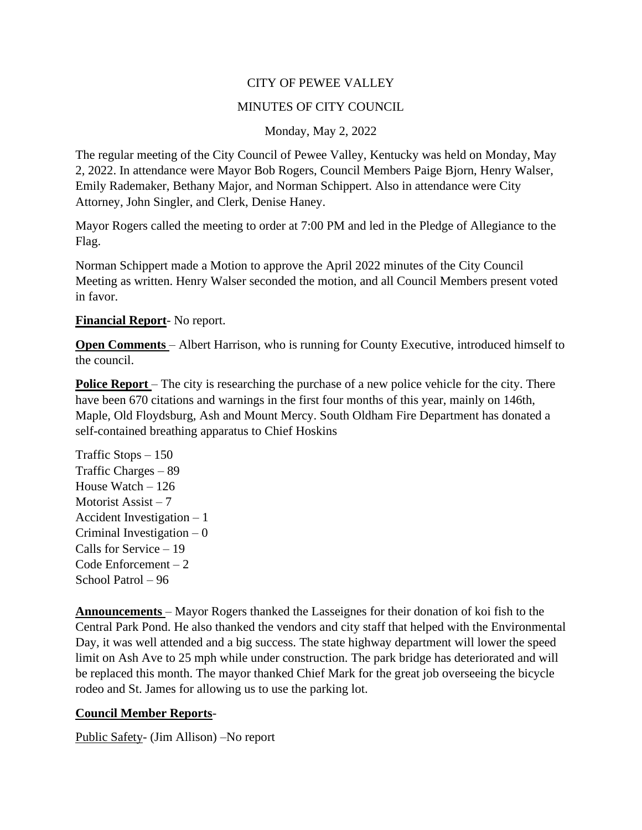## CITY OF PEWEE VALLEY

## MINUTES OF CITY COUNCIL

Monday, May 2, 2022

The regular meeting of the City Council of Pewee Valley, Kentucky was held on Monday, May 2, 2022. In attendance were Mayor Bob Rogers, Council Members Paige Bjorn, Henry Walser, Emily Rademaker, Bethany Major, and Norman Schippert. Also in attendance were City Attorney, John Singler, and Clerk, Denise Haney.

Mayor Rogers called the meeting to order at 7:00 PM and led in the Pledge of Allegiance to the Flag.

Norman Schippert made a Motion to approve the April 2022 minutes of the City Council Meeting as written. Henry Walser seconded the motion, and all Council Members present voted in favor.

## **Financial Report**- No report.

**Open Comments** – Albert Harrison, who is running for County Executive, introduced himself to the council.

**Police Report** – The city is researching the purchase of a new police vehicle for the city. There have been 670 citations and warnings in the first four months of this year, mainly on 146th, Maple, Old Floydsburg, Ash and Mount Mercy. South Oldham Fire Department has donated a self-contained breathing apparatus to Chief Hoskins

Traffic Stops – 150 Traffic Charges – 89 House Watch – 126 Motorist Assist – 7 Accident Investigation – 1 Criminal Investigation – 0 Calls for Service – 19 Code Enforcement – 2 School Patrol – 96

**Announcements** – Mayor Rogers thanked the Lasseignes for their donation of koi fish to the Central Park Pond. He also thanked the vendors and city staff that helped with the Environmental Day, it was well attended and a big success. The state highway department will lower the speed limit on Ash Ave to 25 mph while under construction. The park bridge has deteriorated and will be replaced this month. The mayor thanked Chief Mark for the great job overseeing the bicycle rodeo and St. James for allowing us to use the parking lot.

## **Council Member Reports**-

Public Safety- (Jim Allison) –No report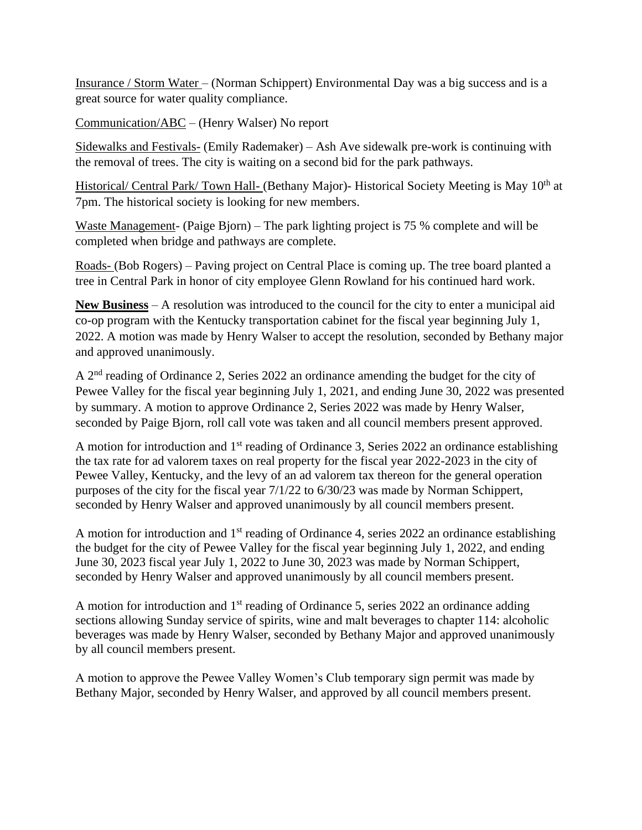Insurance / Storm Water – (Norman Schippert) Environmental Day was a big success and is a great source for water quality compliance.

Communication/ABC – (Henry Walser) No report

Sidewalks and Festivals- (Emily Rademaker) – Ash Ave sidewalk pre-work is continuing with the removal of trees. The city is waiting on a second bid for the park pathways.

Historical/ Central Park/ Town Hall- (Bethany Major)- Historical Society Meeting is May 10<sup>th</sup> at 7pm. The historical society is looking for new members.

Waste Management- (Paige Bjorn) – The park lighting project is 75 % complete and will be completed when bridge and pathways are complete.

Roads- (Bob Rogers) – Paving project on Central Place is coming up. The tree board planted a tree in Central Park in honor of city employee Glenn Rowland for his continued hard work.

**New Business** – A resolution was introduced to the council for the city to enter a municipal aid co-op program with the Kentucky transportation cabinet for the fiscal year beginning July 1, 2022. A motion was made by Henry Walser to accept the resolution, seconded by Bethany major and approved unanimously.

A 2<sup>nd</sup> reading of Ordinance 2, Series 2022 an ordinance amending the budget for the city of Pewee Valley for the fiscal year beginning July 1, 2021, and ending June 30, 2022 was presented by summary. A motion to approve Ordinance 2, Series 2022 was made by Henry Walser, seconded by Paige Bjorn, roll call vote was taken and all council members present approved.

A motion for introduction and 1<sup>st</sup> reading of Ordinance 3, Series 2022 an ordinance establishing the tax rate for ad valorem taxes on real property for the fiscal year 2022-2023 in the city of Pewee Valley, Kentucky, and the levy of an ad valorem tax thereon for the general operation purposes of the city for the fiscal year 7/1/22 to 6/30/23 was made by Norman Schippert, seconded by Henry Walser and approved unanimously by all council members present.

A motion for introduction and  $1<sup>st</sup>$  reading of Ordinance 4, series 2022 an ordinance establishing the budget for the city of Pewee Valley for the fiscal year beginning July 1, 2022, and ending June 30, 2023 fiscal year July 1, 2022 to June 30, 2023 was made by Norman Schippert, seconded by Henry Walser and approved unanimously by all council members present.

A motion for introduction and 1<sup>st</sup> reading of Ordinance 5, series 2022 an ordinance adding sections allowing Sunday service of spirits, wine and malt beverages to chapter 114: alcoholic beverages was made by Henry Walser, seconded by Bethany Major and approved unanimously by all council members present.

A motion to approve the Pewee Valley Women's Club temporary sign permit was made by Bethany Major, seconded by Henry Walser, and approved by all council members present.